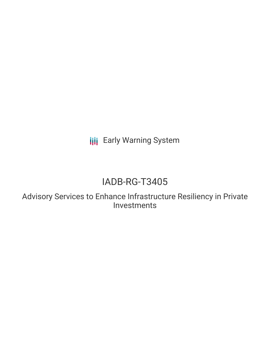**III** Early Warning System

# IADB-RG-T3405

Advisory Services to Enhance Infrastructure Resiliency in Private Investments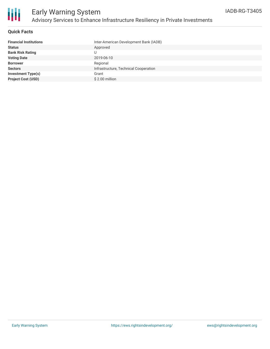

## **Quick Facts**

| <b>Financial Institutions</b> | Inter-American Development Bank (IADB) |
|-------------------------------|----------------------------------------|
| <b>Status</b>                 | Approved                               |
| <b>Bank Risk Rating</b>       |                                        |
| <b>Voting Date</b>            | 2019-06-10                             |
| <b>Borrower</b>               | Regional                               |
| <b>Sectors</b>                | Infrastructure, Technical Cooperation  |
| <b>Investment Type(s)</b>     | Grant                                  |
| <b>Project Cost (USD)</b>     | \$2.00 million                         |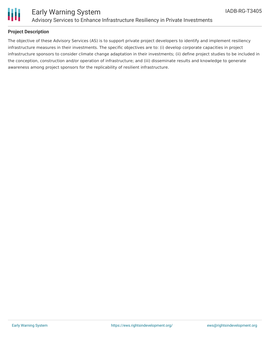

## **Project Description**

The objective of these Advisory Services (AS) is to support private project developers to identify and implement resiliency infrastructure measures in their investments. The specific objectives are to: (i) develop corporate capacities in project infrastructure sponsors to consider climate change adaptation in their investments; (ii) define project studies to be included in the conception, construction and/or operation of infrastructure; and (iii) disseminate results and knowledge to generate awareness among project sponsors for the replicability of resilient infrastructure.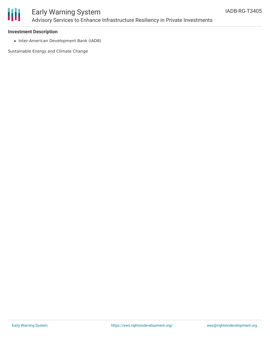

# Early Warning System Advisory Services to Enhance Infrastructure Resiliency in Private Investments

### **Investment Description**

• Inter-American Development Bank (IADB)

Sustainable Energy and Climate Change